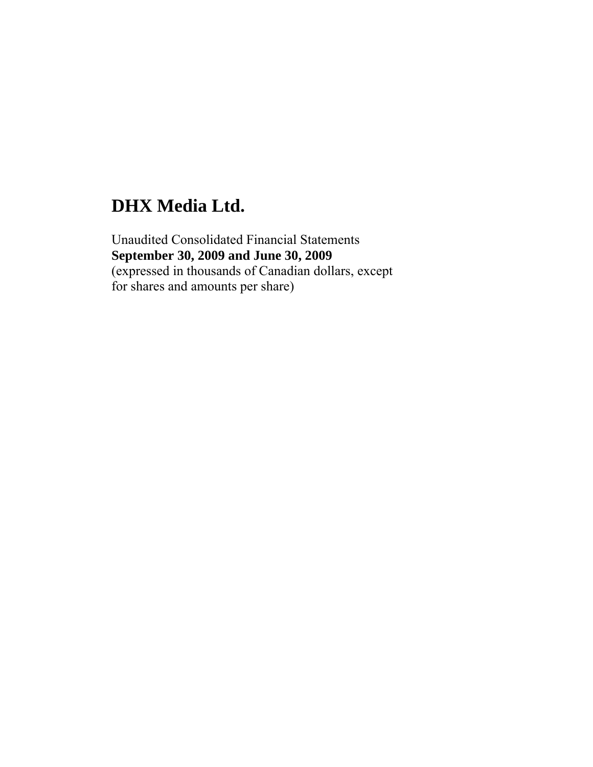Unaudited Consolidated Financial Statements **September 30, 2009 and June 30, 2009**  (expressed in thousands of Canadian dollars, except for shares and amounts per share)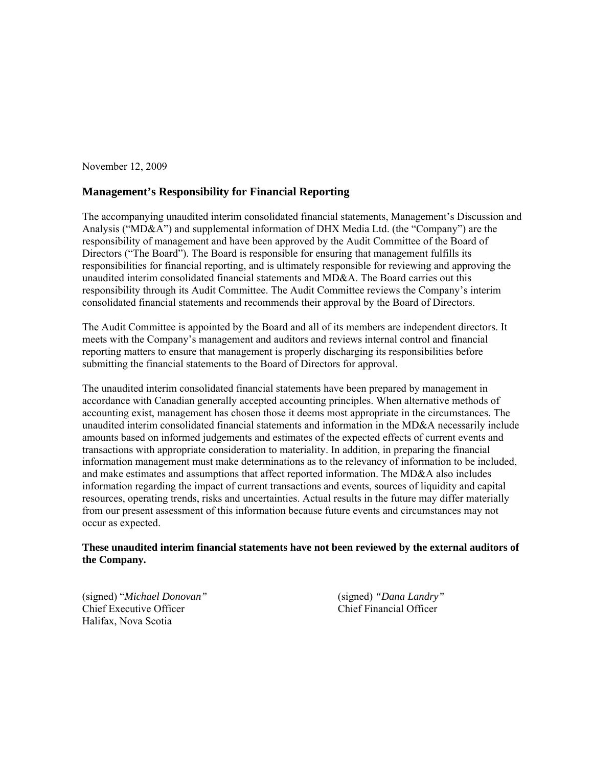November 12, 2009

#### **Management's Responsibility for Financial Reporting**

The accompanying unaudited interim consolidated financial statements, Management's Discussion and Analysis ("MD&A") and supplemental information of DHX Media Ltd. (the "Company") are the responsibility of management and have been approved by the Audit Committee of the Board of Directors ("The Board"). The Board is responsible for ensuring that management fulfills its responsibilities for financial reporting, and is ultimately responsible for reviewing and approving the unaudited interim consolidated financial statements and MD&A. The Board carries out this responsibility through its Audit Committee. The Audit Committee reviews the Company's interim consolidated financial statements and recommends their approval by the Board of Directors.

The Audit Committee is appointed by the Board and all of its members are independent directors. It meets with the Company's management and auditors and reviews internal control and financial reporting matters to ensure that management is properly discharging its responsibilities before submitting the financial statements to the Board of Directors for approval.

The unaudited interim consolidated financial statements have been prepared by management in accordance with Canadian generally accepted accounting principles. When alternative methods of accounting exist, management has chosen those it deems most appropriate in the circumstances. The unaudited interim consolidated financial statements and information in the MD&A necessarily include amounts based on informed judgements and estimates of the expected effects of current events and transactions with appropriate consideration to materiality. In addition, in preparing the financial information management must make determinations as to the relevancy of information to be included, and make estimates and assumptions that affect reported information. The MD&A also includes information regarding the impact of current transactions and events, sources of liquidity and capital resources, operating trends, risks and uncertainties. Actual results in the future may differ materially from our present assessment of this information because future events and circumstances may not occur as expected.

#### **These unaudited interim financial statements have not been reviewed by the external auditors of the Company.**

(signed) "*Michael Donovan"* (signed) *"Dana Landry"* Chief Executive Officer Halifax, Nova Scotia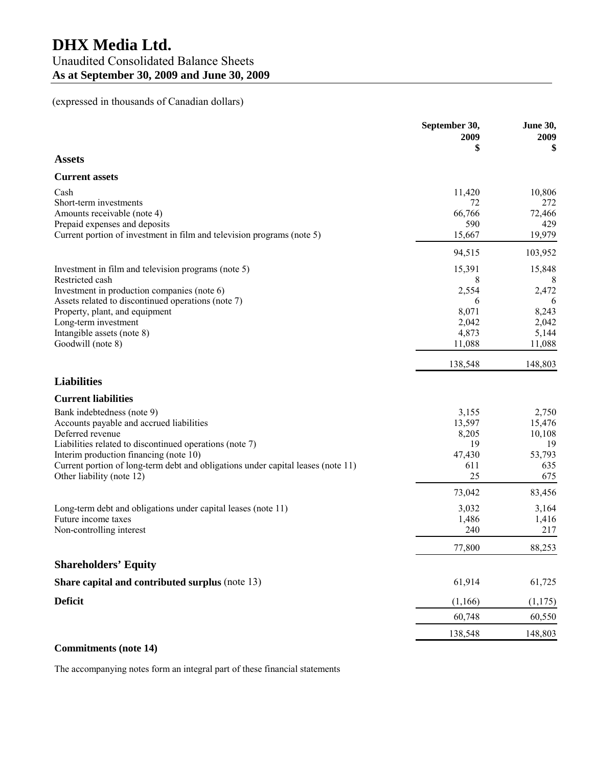#### (expressed in thousands of Canadian dollars)

|                                                                                                                            | September 30,<br>2009<br>\$ | <b>June 30,</b><br>2009<br>\$ |
|----------------------------------------------------------------------------------------------------------------------------|-----------------------------|-------------------------------|
| <b>Assets</b>                                                                                                              |                             |                               |
| <b>Current assets</b>                                                                                                      |                             |                               |
| Cash<br>Short-term investments                                                                                             | 11,420<br>72                | 10,806<br>272                 |
| Amounts receivable (note 4)<br>Prepaid expenses and deposits                                                               | 66,766<br>590               | 72,466<br>429                 |
| Current portion of investment in film and television programs (note 5)                                                     | 15,667                      | 19,979                        |
|                                                                                                                            | 94,515                      | 103,952                       |
| Investment in film and television programs (note 5)<br>Restricted cash                                                     | 15,391<br>8                 | 15,848<br>8                   |
| Investment in production companies (note 6)                                                                                | 2,554                       | 2,472                         |
| Assets related to discontinued operations (note 7)<br>Property, plant, and equipment                                       | 6<br>8,071                  | 6<br>8,243                    |
| Long-term investment                                                                                                       | 2,042                       | 2,042                         |
| Intangible assets (note 8)                                                                                                 | 4,873                       | 5,144                         |
| Goodwill (note 8)                                                                                                          | 11,088                      | 11,088                        |
|                                                                                                                            | 138,548                     | 148,803                       |
| <b>Liabilities</b>                                                                                                         |                             |                               |
| <b>Current liabilities</b>                                                                                                 |                             |                               |
| Bank indebtedness (note 9)                                                                                                 | 3,155                       | 2,750                         |
| Accounts payable and accrued liabilities                                                                                   | 13,597                      | 15,476                        |
| Deferred revenue                                                                                                           | 8,205                       | 10,108                        |
| Liabilities related to discontinued operations (note 7)                                                                    | 19                          | 19                            |
| Interim production financing (note 10)<br>Current portion of long-term debt and obligations under capital leases (note 11) | 47,430<br>611               | 53,793<br>635                 |
| Other liability (note 12)                                                                                                  | 25                          | 675                           |
|                                                                                                                            | 73,042                      | 83,456                        |
| Long-term debt and obligations under capital leases (note 11)                                                              | 3,032                       | 3,164                         |
| Future income taxes                                                                                                        | 1,486                       | 1,416                         |
| Non-controlling interest                                                                                                   | 240                         | 217                           |
|                                                                                                                            | 77,800                      | 88,253                        |
| <b>Shareholders' Equity</b>                                                                                                |                             |                               |
| Share capital and contributed surplus (note 13)                                                                            | 61,914                      | 61,725                        |
| <b>Deficit</b>                                                                                                             | (1, 166)                    | (1,175)                       |
|                                                                                                                            | 60,748                      | 60,550                        |
|                                                                                                                            | 138,548                     | 148,803                       |
|                                                                                                                            |                             |                               |

#### **Commitments (note 14)**

The accompanying notes form an integral part of these financial statements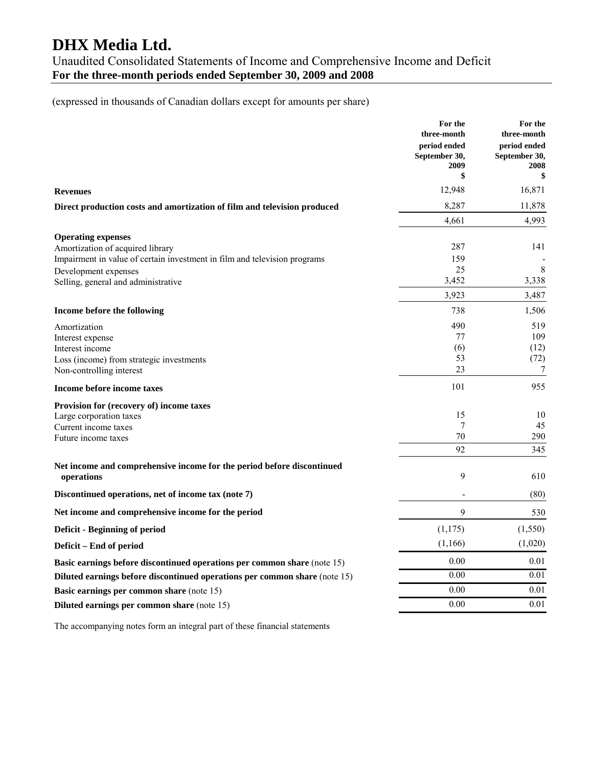Unaudited Consolidated Statements of Income and Comprehensive Income and Deficit **For the three-month periods ended September 30, 2009 and 2008** 

(expressed in thousands of Canadian dollars except for amounts per share)

|                                                                            | For the<br>three-month                | For the<br>three-month                |
|----------------------------------------------------------------------------|---------------------------------------|---------------------------------------|
|                                                                            | period ended<br>September 30,<br>2009 | period ended<br>September 30,<br>2008 |
|                                                                            | \$                                    | \$                                    |
| <b>Revenues</b>                                                            | 12,948                                | 16,871                                |
| Direct production costs and amortization of film and television produced   | 8,287                                 | 11,878                                |
|                                                                            | 4,661                                 | 4,993                                 |
| <b>Operating expenses</b>                                                  |                                       |                                       |
| Amortization of acquired library                                           | 287                                   | 141                                   |
| Impairment in value of certain investment in film and television programs  | 159                                   |                                       |
| Development expenses                                                       | 25                                    | 8                                     |
| Selling, general and administrative                                        | 3,452                                 | 3,338                                 |
|                                                                            | 3,923                                 | 3,487                                 |
| Income before the following                                                | 738                                   | 1,506                                 |
| Amortization                                                               | 490                                   | 519                                   |
| Interest expense                                                           | 77                                    | 109                                   |
| Interest income                                                            | (6)                                   | (12)                                  |
| Loss (income) from strategic investments                                   | 53                                    | (72)                                  |
| Non-controlling interest                                                   | 23                                    | 7                                     |
| Income before income taxes                                                 | 101                                   | 955                                   |
| <b>Provision for (recovery of) income taxes</b>                            |                                       |                                       |
| Large corporation taxes                                                    | 15                                    | 10                                    |
| Current income taxes                                                       | 7                                     | 45                                    |
| Future income taxes                                                        | 70                                    | 290                                   |
|                                                                            | 92                                    | 345                                   |
| Net income and comprehensive income for the period before discontinued     |                                       |                                       |
| operations                                                                 | 9                                     | 610                                   |
| Discontinued operations, net of income tax (note 7)                        |                                       | (80)                                  |
| Net income and comprehensive income for the period                         | 9                                     | 530                                   |
| Deficit - Beginning of period                                              | (1, 175)                              | (1, 550)                              |
| Deficit - End of period                                                    | (1,166)                               | (1,020)                               |
| Basic earnings before discontinued operations per common share (note 15)   | 0.00                                  | 0.01                                  |
| Diluted earnings before discontinued operations per common share (note 15) | 0.00                                  | 0.01                                  |
| Basic earnings per common share (note 15)                                  | 0.00                                  | 0.01                                  |
| Diluted earnings per common share (note 15)                                | 0.00                                  | 0.01                                  |
|                                                                            |                                       |                                       |

The accompanying notes form an integral part of these financial statements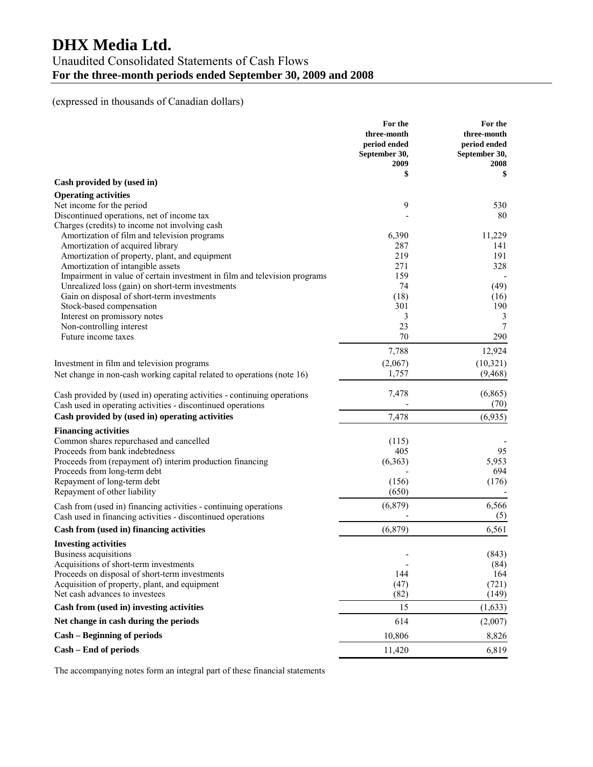### Unaudited Consolidated Statements of Cash Flows **For the three-month periods ended September 30, 2009 and 2008**

#### (expressed in thousands of Canadian dollars)

|                                                                                                                                        | For the<br>three-month<br>period ended<br>September 30,<br>2009 | For the<br>three-month<br>period ended<br>September 30,<br>2008 |
|----------------------------------------------------------------------------------------------------------------------------------------|-----------------------------------------------------------------|-----------------------------------------------------------------|
| Cash provided by (used in)                                                                                                             | \$                                                              | \$                                                              |
| <b>Operating activities</b>                                                                                                            |                                                                 |                                                                 |
| Net income for the period                                                                                                              | 9                                                               | 530                                                             |
| Discontinued operations, net of income tax                                                                                             |                                                                 | 80                                                              |
| Charges (credits) to income not involving cash                                                                                         |                                                                 |                                                                 |
| Amortization of film and television programs                                                                                           | 6,390                                                           | 11,229                                                          |
| Amortization of acquired library                                                                                                       | 287                                                             | 141                                                             |
| Amortization of property, plant, and equipment<br>Amortization of intangible assets                                                    | 219<br>271                                                      | 191<br>328                                                      |
| Impairment in value of certain investment in film and television programs                                                              | 159                                                             |                                                                 |
| Unrealized loss (gain) on short-term investments                                                                                       | 74                                                              | (49)                                                            |
| Gain on disposal of short-term investments                                                                                             | (18)                                                            | (16)                                                            |
| Stock-based compensation                                                                                                               | 301                                                             | 190                                                             |
| Interest on promissory notes                                                                                                           | 3                                                               | 3                                                               |
| Non-controlling interest                                                                                                               | 23                                                              | 7                                                               |
| Future income taxes                                                                                                                    | 70                                                              | 290                                                             |
|                                                                                                                                        | 7,788                                                           | 12,924                                                          |
| Investment in film and television programs                                                                                             | (2,067)                                                         | (10, 321)                                                       |
| Net change in non-cash working capital related to operations (note 16)                                                                 | 1,757                                                           | (9, 468)                                                        |
| Cash provided by (used in) operating activities - continuing operations<br>Cash used in operating activities - discontinued operations | 7,478                                                           | (6,865)<br>(70)                                                 |
| Cash provided by (used in) operating activities                                                                                        | 7,478                                                           | (6,935)                                                         |
| <b>Financing activities</b>                                                                                                            |                                                                 |                                                                 |
| Common shares repurchased and cancelled                                                                                                | (115)                                                           |                                                                 |
| Proceeds from bank indebtedness                                                                                                        | 405                                                             | 95                                                              |
| Proceeds from (repayment of) interim production financing                                                                              | (6, 363)                                                        | 5,953                                                           |
| Proceeds from long-term debt                                                                                                           |                                                                 | 694                                                             |
| Repayment of long-term debt                                                                                                            | (156)                                                           | (176)                                                           |
| Repayment of other liability                                                                                                           | (650)                                                           |                                                                 |
| Cash from (used in) financing activities - continuing operations<br>Cash used in financing activities - discontinued operations        | (6, 879)                                                        | 6,566<br>(5)                                                    |
| Cash from (used in) financing activities                                                                                               | (6, 879)                                                        | 6,561                                                           |
| <b>Investing activities</b>                                                                                                            |                                                                 |                                                                 |
| <b>Business acquisitions</b>                                                                                                           |                                                                 | (843)                                                           |
| Acquisitions of short-term investments                                                                                                 |                                                                 | (84)                                                            |
| Proceeds on disposal of short-term investments                                                                                         | 144                                                             | 164                                                             |
| Acquisition of property, plant, and equipment                                                                                          | (47)                                                            | (721)                                                           |
| Net cash advances to investees                                                                                                         | (82)                                                            | (149)                                                           |
| Cash from (used in) investing activities                                                                                               | 15                                                              | (1,633)                                                         |
| Net change in cash during the periods                                                                                                  | 614                                                             | (2,007)                                                         |
| <b>Cash - Beginning of periods</b>                                                                                                     | 10,806                                                          | 8,826                                                           |
| Cash - End of periods                                                                                                                  | 11,420                                                          | 6,819                                                           |

The accompanying notes form an integral part of these financial statements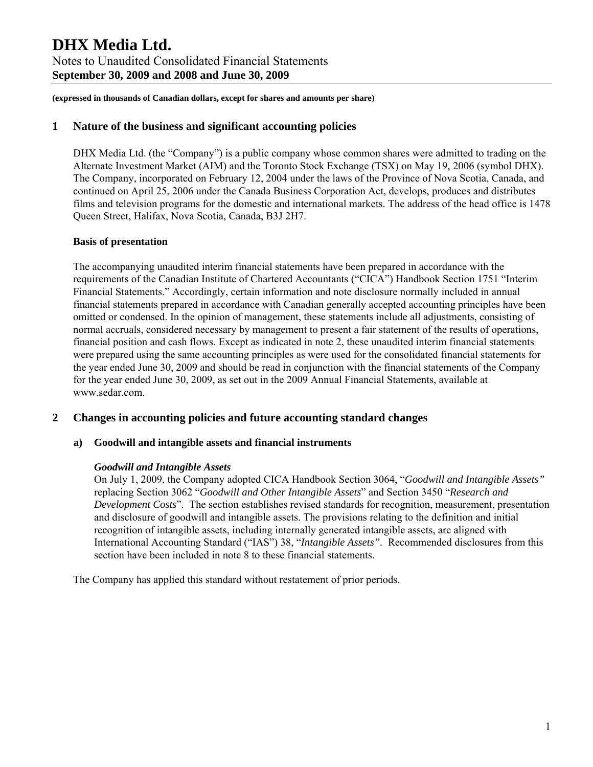#### **1 Nature of the business and significant accounting policies**

DHX Media Ltd. (the "Company") is a public company whose common shares were admitted to trading on the Alternate Investment Market (AIM) and the Toronto Stock Exchange (TSX) on May 19, 2006 (symbol DHX). The Company, incorporated on February 12, 2004 under the laws of the Province of Nova Scotia, Canada, and continued on April 25, 2006 under the Canada Business Corporation Act, develops, produces and distributes films and television programs for the domestic and international markets. The address of the head office is 1478 Queen Street, Halifax, Nova Scotia, Canada, B3J 2H7.

#### **Basis of presentation**

The accompanying unaudited interim financial statements have been prepared in accordance with the requirements of the Canadian Institute of Chartered Accountants ("CICA") Handbook Section 1751 "Interim Financial Statements." Accordingly, certain information and note disclosure normally included in annual financial statements prepared in accordance with Canadian generally accepted accounting principles have been omitted or condensed. In the opinion of management, these statements include all adjustments, consisting of normal accruals, considered necessary by management to present a fair statement of the results of operations, financial position and cash flows. Except as indicated in note 2, these unaudited interim financial statements were prepared using the same accounting principles as were used for the consolidated financial statements for the year ended June 30, 2009 and should be read in conjunction with the financial statements of the Company for the year ended June 30, 2009, as set out in the 2009 Annual Financial Statements, available at www.sedar.com.

#### **2 Changes in accounting policies and future accounting standard changes**

#### **a) Goodwill and intangible assets and financial instruments**

#### *Goodwill and Intangible Assets*

On July 1, 2009, the Company adopted CICA Handbook Section 3064, "*Goodwill and Intangible Assets"* replacing Section 3062 "*Goodwill and Other Intangible Assets*" and Section 3450 "*Research and Development Costs*". The section establishes revised standards for recognition, measurement, presentation and disclosure of goodwill and intangible assets. The provisions relating to the definition and initial recognition of intangible assets, including internally generated intangible assets, are aligned with International Accounting Standard ("IAS") 38, "*Intangible Assets".* Recommended disclosures from this section have been included in note 8 to these financial statements.

The Company has applied this standard without restatement of prior periods.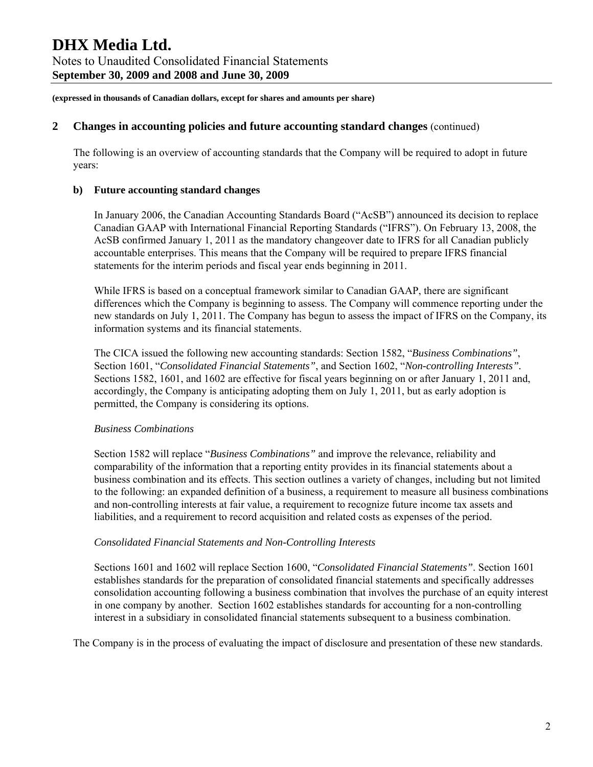#### **2 Changes in accounting policies and future accounting standard changes** (continued)

The following is an overview of accounting standards that the Company will be required to adopt in future years:

#### **b) Future accounting standard changes**

In January 2006, the Canadian Accounting Standards Board ("AcSB") announced its decision to replace Canadian GAAP with International Financial Reporting Standards ("IFRS"). On February 13, 2008, the AcSB confirmed January 1, 2011 as the mandatory changeover date to IFRS for all Canadian publicly accountable enterprises. This means that the Company will be required to prepare IFRS financial statements for the interim periods and fiscal year ends beginning in 2011.

While IFRS is based on a conceptual framework similar to Canadian GAAP, there are significant differences which the Company is beginning to assess. The Company will commence reporting under the new standards on July 1, 2011. The Company has begun to assess the impact of IFRS on the Company, its information systems and its financial statements.

The CICA issued the following new accounting standards: Section 1582, "*Business Combinations"*, Section 1601, "*Consolidated Financial Statements"*, and Section 1602, "*Non-controlling Interests".* Sections 1582, 1601, and 1602 are effective for fiscal years beginning on or after January 1, 2011 and, accordingly, the Company is anticipating adopting them on July 1, 2011, but as early adoption is permitted, the Company is considering its options.

#### *Business Combinations*

Section 1582 will replace "*Business Combinations"* and improve the relevance, reliability and comparability of the information that a reporting entity provides in its financial statements about a business combination and its effects. This section outlines a variety of changes, including but not limited to the following: an expanded definition of a business, a requirement to measure all business combinations and non-controlling interests at fair value, a requirement to recognize future income tax assets and liabilities, and a requirement to record acquisition and related costs as expenses of the period.

#### *Consolidated Financial Statements and Non-Controlling Interests*

Sections 1601 and 1602 will replace Section 1600, "*Consolidated Financial Statements"*. Section 1601 establishes standards for the preparation of consolidated financial statements and specifically addresses consolidation accounting following a business combination that involves the purchase of an equity interest in one company by another. Section 1602 establishes standards for accounting for a non-controlling interest in a subsidiary in consolidated financial statements subsequent to a business combination.

The Company is in the process of evaluating the impact of disclosure and presentation of these new standards.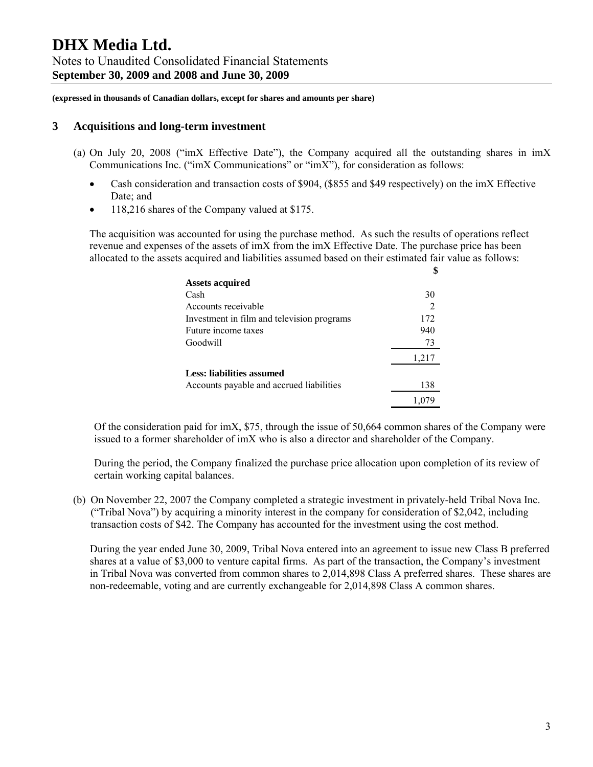#### **3 Acquisitions and long-term investment**

- (a) On July 20, 2008 ("imX Effective Date"), the Company acquired all the outstanding shares in imX Communications Inc. ("imX Communications" or "imX"), for consideration as follows:
	- Cash consideration and transaction costs of \$904, (\$855 and \$49 respectively) on the imX Effective Date; and
	- 118,216 shares of the Company valued at \$175.

The acquisition was accounted for using the purchase method. As such the results of operations reflect revenue and expenses of the assets of imX from the imX Effective Date. The purchase price has been allocated to the assets acquired and liabilities assumed based on their estimated fair value as follows:

| <b>Assets acquired</b>                     |       |
|--------------------------------------------|-------|
| Cash                                       | 30    |
| Accounts receivable                        |       |
| Investment in film and television programs | 172   |
| Future income taxes                        | 940   |
| Goodwill                                   | 73    |
|                                            | 1,217 |
| Less: liabilities assumed                  |       |
| Accounts payable and accrued liabilities   | 138   |
|                                            | 1,079 |

Of the consideration paid for imX, \$75, through the issue of 50,664 common shares of the Company were issued to a former shareholder of imX who is also a director and shareholder of the Company.

During the period, the Company finalized the purchase price allocation upon completion of its review of certain working capital balances.

(b) On November 22, 2007 the Company completed a strategic investment in privately-held Tribal Nova Inc. ("Tribal Nova") by acquiring a minority interest in the company for consideration of \$2,042, including transaction costs of \$42. The Company has accounted for the investment using the cost method.

During the year ended June 30, 2009, Tribal Nova entered into an agreement to issue new Class B preferred shares at a value of \$3,000 to venture capital firms. As part of the transaction, the Company's investment in Tribal Nova was converted from common shares to 2,014,898 Class A preferred shares. These shares are non-redeemable, voting and are currently exchangeable for 2,014,898 Class A common shares.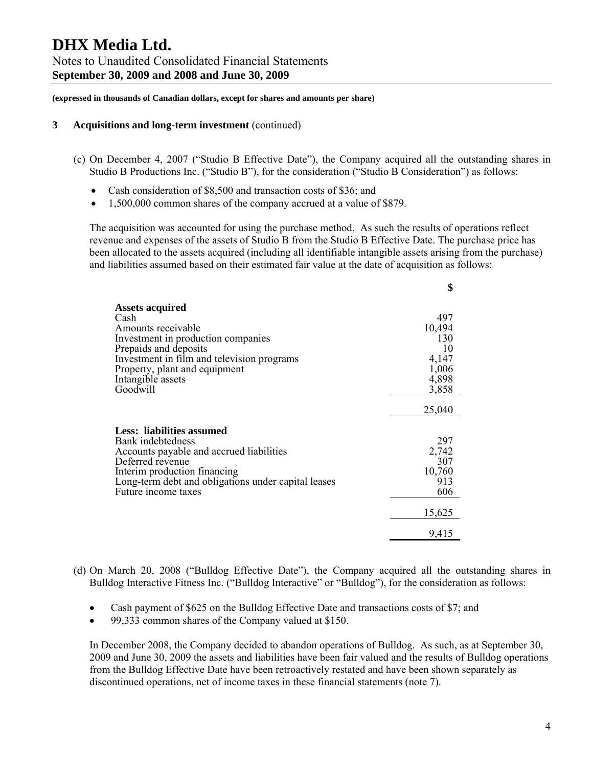**(expressed in thousands of Canadian dollars, except for shares and amounts per share)** 

#### **3 Acquisitions and long-term investment** (continued)

- (c) On December 4, 2007 ("Studio B Effective Date"), the Company acquired all the outstanding shares in Studio B Productions Inc. ("Studio B"), for the consideration ("Studio B Consideration") as follows:
	- Cash consideration of \$8,500 and transaction costs of \$36; and
	- 1,500,000 common shares of the company accrued at a value of \$879.

The acquisition was accounted for using the purchase method. As such the results of operations reflect revenue and expenses of the assets of Studio B from the Studio B Effective Date. The purchase price has been allocated to the assets acquired (including all identifiable intangible assets arising from the purchase) and liabilities assumed based on their estimated fair value at the date of acquisition as follows:

|                                                     | \$     |
|-----------------------------------------------------|--------|
| <b>Assets acquired</b>                              |        |
| Cash                                                | 497    |
| Amounts receivable                                  | 10,494 |
| Investment in production companies                  | 130    |
| Prepaids and deposits                               | 10     |
| Investment in film and television programs          | 4,147  |
| Property, plant and equipment                       | 1,006  |
| Intangible assets                                   | 4,898  |
| Goodwill                                            | 3,858  |
|                                                     |        |
|                                                     | 25,040 |
|                                                     |        |
| Less: liabilities assumed                           |        |
| Bank indebtedness                                   | 297    |
| Accounts payable and accrued liabilities            | 2,742  |
| Deferred revenue                                    | 307    |
| Interim production financing                        | 10,760 |
| Long-term debt and obligations under capital leases | 913    |
| Future income taxes                                 | 606    |
|                                                     | 15,625 |
|                                                     | 9,415  |

- (d) On March 20, 2008 ("Bulldog Effective Date"), the Company acquired all the outstanding shares in Bulldog Interactive Fitness Inc. ("Bulldog Interactive" or "Bulldog"), for the consideration as follows:
	- Cash payment of \$625 on the Bulldog Effective Date and transactions costs of \$7; and
	- 99,333 common shares of the Company valued at \$150.

In December 2008, the Company decided to abandon operations of Bulldog. As such, as at September 30, 2009 and June 30, 2009 the assets and liabilities have been fair valued and the results of Bulldog operations from the Bulldog Effective Date have been retroactively restated and have been shown separately as discontinued operations, net of income taxes in these financial statements (note 7).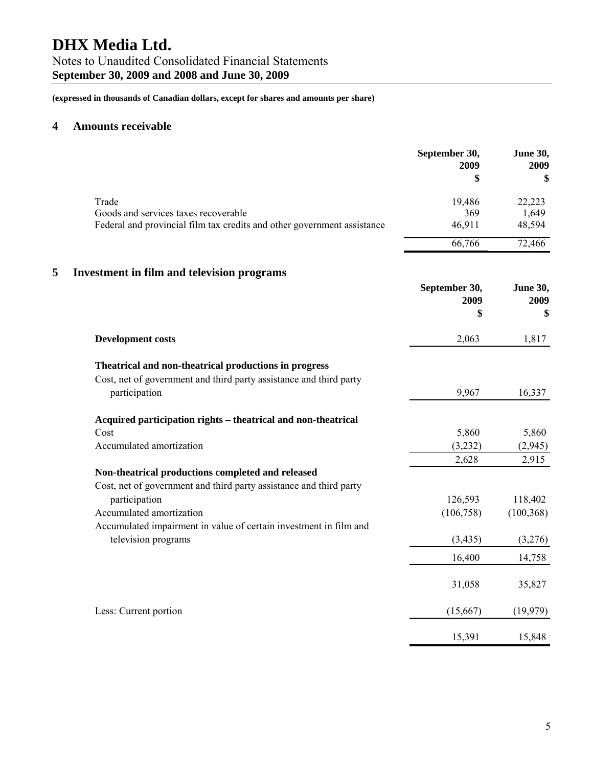Notes to Unaudited Consolidated Financial Statements **September 30, 2009 and 2008 and June 30, 2009** 

**(expressed in thousands of Canadian dollars, except for shares and amounts per share)** 

### **4 Amounts receivable**

|   |                                                                         | September 30,<br>2009<br>\$ | <b>June 30,</b><br>2009<br>\$ |
|---|-------------------------------------------------------------------------|-----------------------------|-------------------------------|
|   | Trade                                                                   | 19,486                      | 22,223                        |
|   | Goods and services taxes recoverable                                    | 369                         | 1,649                         |
|   | Federal and provincial film tax credits and other government assistance | 46,911                      | 48,594                        |
|   |                                                                         | 66,766                      | 72,466                        |
| 5 | <b>Investment in film and television programs</b>                       |                             |                               |
|   |                                                                         | September 30,<br>2009       | June 30,<br>2009              |
|   |                                                                         | \$                          | \$                            |
|   | <b>Development costs</b>                                                | 2,063                       | 1,817                         |
|   | Theatrical and non-theatrical productions in progress                   |                             |                               |
|   | Cost, net of government and third party assistance and third party      |                             |                               |
|   | participation                                                           | 9,967                       | 16,337                        |
|   | Acquired participation rights - theatrical and non-theatrical           |                             |                               |
|   | Cost                                                                    | 5,860                       | 5,860                         |
|   | Accumulated amortization                                                | (3,232)                     | (2,945)                       |
|   |                                                                         | 2,628                       | 2,915                         |
|   | Non-theatrical productions completed and released                       |                             |                               |
|   | Cost, net of government and third party assistance and third party      |                             |                               |
|   | participation<br>Accumulated amortization                               | 126,593<br>(106, 758)       | 118,402                       |
|   | Accumulated impairment in value of certain investment in film and       |                             | (100, 368)                    |
|   | television programs                                                     | (3, 435)                    | (3,276)                       |
|   |                                                                         |                             |                               |
|   |                                                                         | 16,400                      | 14,758                        |
|   |                                                                         | 31,058                      | 35,827                        |
|   | Less: Current portion                                                   | (15,667)                    | (19, 979)                     |
|   |                                                                         | 15,391                      | 15,848                        |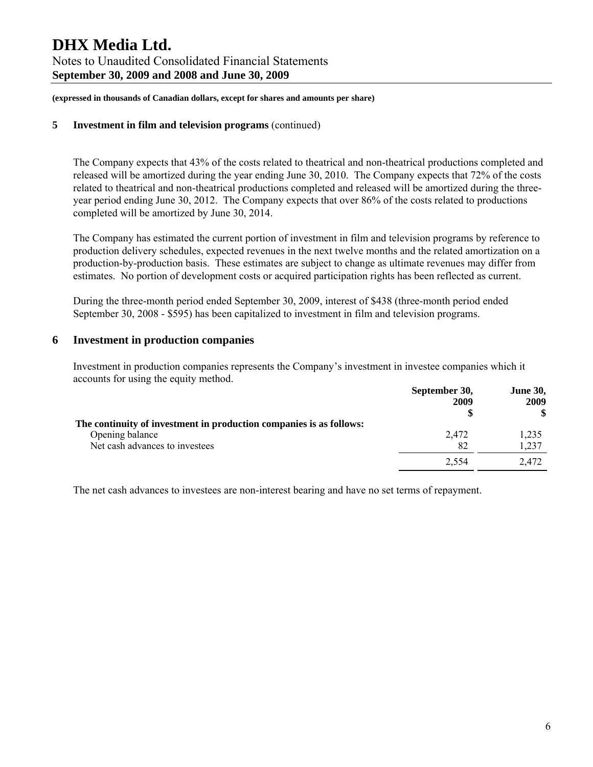**(expressed in thousands of Canadian dollars, except for shares and amounts per share)** 

#### **5 Investment in film and television programs** (continued)

The Company expects that 43% of the costs related to theatrical and non-theatrical productions completed and released will be amortized during the year ending June 30, 2010. The Company expects that 72% of the costs related to theatrical and non-theatrical productions completed and released will be amortized during the threeyear period ending June 30, 2012. The Company expects that over 86% of the costs related to productions completed will be amortized by June 30, 2014.

The Company has estimated the current portion of investment in film and television programs by reference to production delivery schedules, expected revenues in the next twelve months and the related amortization on a production-by-production basis. These estimates are subject to change as ultimate revenues may differ from estimates. No portion of development costs or acquired participation rights has been reflected as current.

During the three-month period ended September 30, 2009, interest of \$438 (three-month period ended September 30, 2008 - \$595) has been capitalized to investment in film and television programs.

#### **6 Investment in production companies**

Investment in production companies represents the Company's investment in investee companies which it accounts for using the equity method.

|                                                                     | September 30,<br>2009 | <b>June 30,</b><br>2009 |
|---------------------------------------------------------------------|-----------------------|-------------------------|
| The continuity of investment in production companies is as follows: |                       | \$                      |
| Opening balance                                                     | 2,472                 | 1,235                   |
| Net cash advances to investees                                      | 82                    | 1,237                   |
|                                                                     | 2.554                 | 2.472                   |

The net cash advances to investees are non-interest bearing and have no set terms of repayment.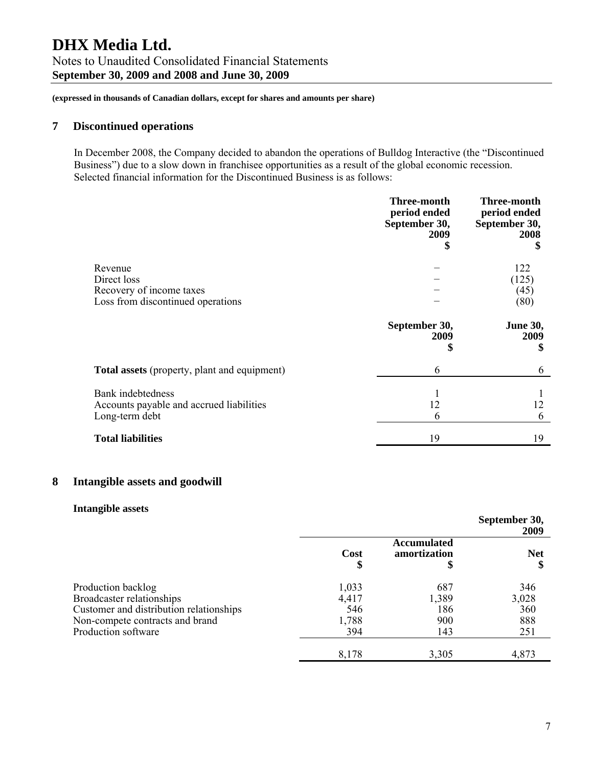#### **7 Discontinued operations**

In December 2008, the Company decided to abandon the operations of Bulldog Interactive (the "Discontinued Business") due to a slow down in franchisee opportunities as a result of the global economic recession. Selected financial information for the Discontinued Business is as follows:

|                                                                                         | <b>Three-month</b><br>period ended<br>September 30,<br>2009<br>\$ | <b>Three-month</b><br>period ended<br>September 30,<br>2008<br>\$ |
|-----------------------------------------------------------------------------------------|-------------------------------------------------------------------|-------------------------------------------------------------------|
| Revenue<br>Direct loss<br>Recovery of income taxes<br>Loss from discontinued operations |                                                                   | 122<br>(125)<br>(45)<br>(80)                                      |
|                                                                                         | September 30,<br>2009<br>\$                                       | <b>June 30,</b><br>2009<br>\$                                     |
| <b>Total assets</b> (property, plant and equipment)                                     | 6                                                                 | 6                                                                 |
| <b>Bank</b> indebtedness<br>Accounts payable and accrued liabilities<br>Long-term debt  | 12<br>6                                                           | 12<br>6                                                           |
| <b>Total liabilities</b>                                                                | 19                                                                | 19                                                                |

### **8 Intangible assets and goodwill**

#### **Intangible assets**

|                                         |            |                                    | September 30,<br>2009 |
|-----------------------------------------|------------|------------------------------------|-----------------------|
|                                         | Cost<br>\$ | <b>Accumulated</b><br>amortization | <b>Net</b>            |
| Production backlog                      | 1,033      | 687                                | 346                   |
| Broadcaster relationships               | 4,417      | 1,389                              | 3,028                 |
| Customer and distribution relationships | 546        | 186                                | 360                   |
| Non-compete contracts and brand         | 1,788      | 900                                | 888                   |
| Production software                     | 394        | 143                                | 251                   |
|                                         | 8,178      | 3,305                              | 4,873                 |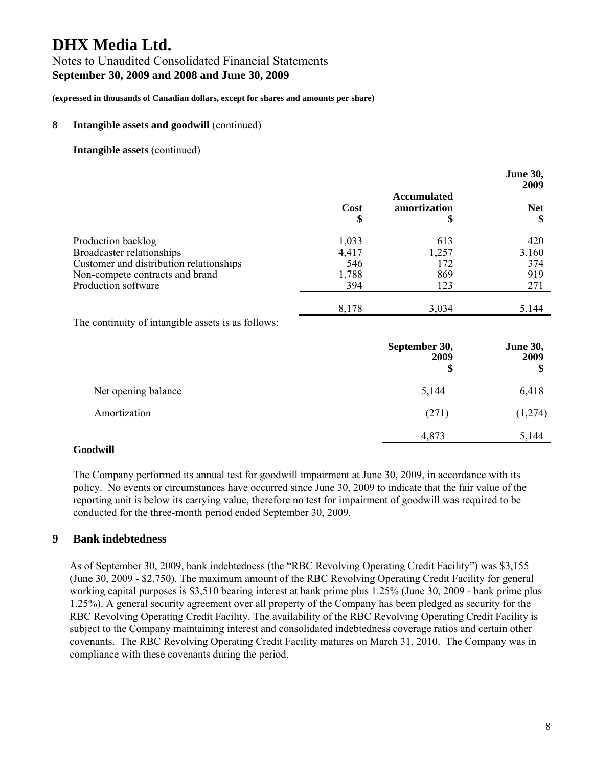#### Notes to Unaudited Consolidated Financial Statements **September 30, 2009 and 2008 and June 30, 2009**

**(expressed in thousands of Canadian dollars, except for shares and amounts per share)** 

#### **8 Intangible assets and goodwill** (continued)

#### **Intangible assets** (continued)

|                                                                                                                                                      |                                       |                                          | <b>June 30,</b><br>2009           |
|------------------------------------------------------------------------------------------------------------------------------------------------------|---------------------------------------|------------------------------------------|-----------------------------------|
|                                                                                                                                                      | Cost<br>\$                            | <b>Accumulated</b><br>amortization<br>\$ | <b>Net</b><br>\$                  |
| Production backlog<br>Broadcaster relationships<br>Customer and distribution relationships<br>Non-compete contracts and brand<br>Production software | 1,033<br>4,417<br>546<br>1,788<br>394 | 613<br>1,257<br>172<br>869<br>123        | 420<br>3,160<br>374<br>919<br>271 |
|                                                                                                                                                      | 8,178                                 | 3,034                                    | 5,144                             |

The continuity of intangible assets is as follows:

|                     | September 30,<br>2009<br>\$ | <b>June 30,</b><br>2009<br>\$ |
|---------------------|-----------------------------|-------------------------------|
| Net opening balance | 5,144                       | 6,418                         |
| Amortization        | (271)                       | (1,274)                       |
|                     | 4,873                       | 5,144                         |

#### **Goodwill**

The Company performed its annual test for goodwill impairment at June 30, 2009, in accordance with its policy. No events or circumstances have occurred since June 30, 2009 to indicate that the fair value of the reporting unit is below its carrying value, therefore no test for impairment of goodwill was required to be conducted for the three-month period ended September 30, 2009.

#### **9 Bank indebtedness**

As of September 30, 2009, bank indebtedness (the "RBC Revolving Operating Credit Facility") was \$3,155 (June 30, 2009 - \$2,750). The maximum amount of the RBC Revolving Operating Credit Facility for general working capital purposes is \$3,510 bearing interest at bank prime plus 1.25% (June 30, 2009 - bank prime plus 1.25%). A general security agreement over all property of the Company has been pledged as security for the RBC Revolving Operating Credit Facility. The availability of the RBC Revolving Operating Credit Facility is subject to the Company maintaining interest and consolidated indebtedness coverage ratios and certain other covenants. The RBC Revolving Operating Credit Facility matures on March 31, 2010. The Company was in compliance with these covenants during the period.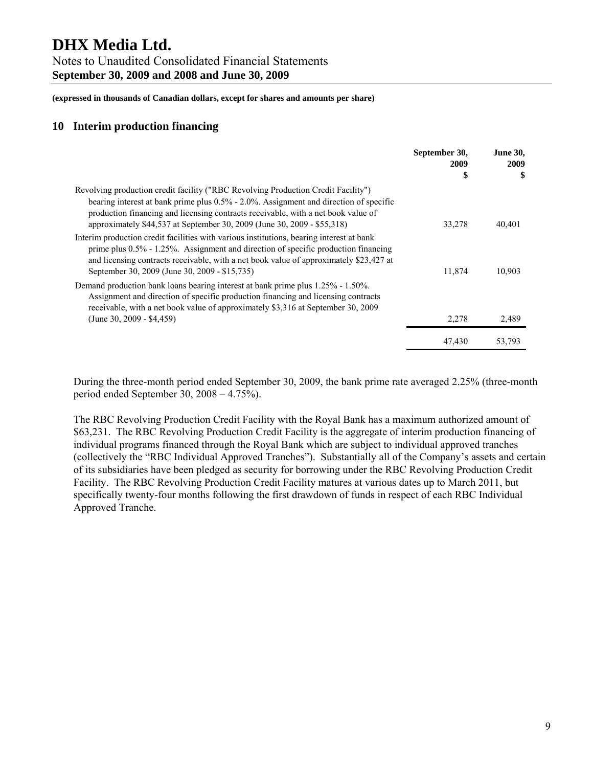Notes to Unaudited Consolidated Financial Statements **September 30, 2009 and 2008 and June 30, 2009** 

**(expressed in thousands of Canadian dollars, except for shares and amounts per share)** 

#### **10 Interim production financing**

|                                                                                                                                                                                                                                                                                                                                            | September 30,<br>2009 | <b>June 30,</b><br>2009 |
|--------------------------------------------------------------------------------------------------------------------------------------------------------------------------------------------------------------------------------------------------------------------------------------------------------------------------------------------|-----------------------|-------------------------|
|                                                                                                                                                                                                                                                                                                                                            | \$                    | \$                      |
| Revolving production credit facility ("RBC Revolving Production Credit Facility")<br>bearing interest at bank prime plus 0.5% - 2.0%. Assignment and direction of specific<br>production financing and licensing contracts receivable, with a net book value of<br>approximately \$44,537 at September 30, 2009 (June 30, 2009 - \$55,318) | 33,278                | 40,401                  |
| Interim production credit facilities with various institutions, bearing interest at bank<br>prime plus $0.5\%$ - 1.25%. Assignment and direction of specific production financing<br>and licensing contracts receivable, with a net book value of approximately \$23,427 at<br>September 30, 2009 (June 30, 2009 - \$15,735)               | 11,874                | 10,903                  |
| Demand production bank loans bearing interest at bank prime plus 1.25% - 1.50%.<br>Assignment and direction of specific production financing and licensing contracts<br>receivable, with a net book value of approximately \$3,316 at September 30, 2009<br>$(June 30, 2009 - $4,459)$                                                     | 2,278                 | 2,489                   |
|                                                                                                                                                                                                                                                                                                                                            | 47,430                | 53,793                  |

During the three-month period ended September 30, 2009, the bank prime rate averaged 2.25% (three-month period ended September 30, 2008 – 4.75%).

The RBC Revolving Production Credit Facility with the Royal Bank has a maximum authorized amount of \$63,231. The RBC Revolving Production Credit Facility is the aggregate of interim production financing of individual programs financed through the Royal Bank which are subject to individual approved tranches (collectively the "RBC Individual Approved Tranches"). Substantially all of the Company's assets and certain of its subsidiaries have been pledged as security for borrowing under the RBC Revolving Production Credit Facility. The RBC Revolving Production Credit Facility matures at various dates up to March 2011, but specifically twenty-four months following the first drawdown of funds in respect of each RBC Individual Approved Tranche.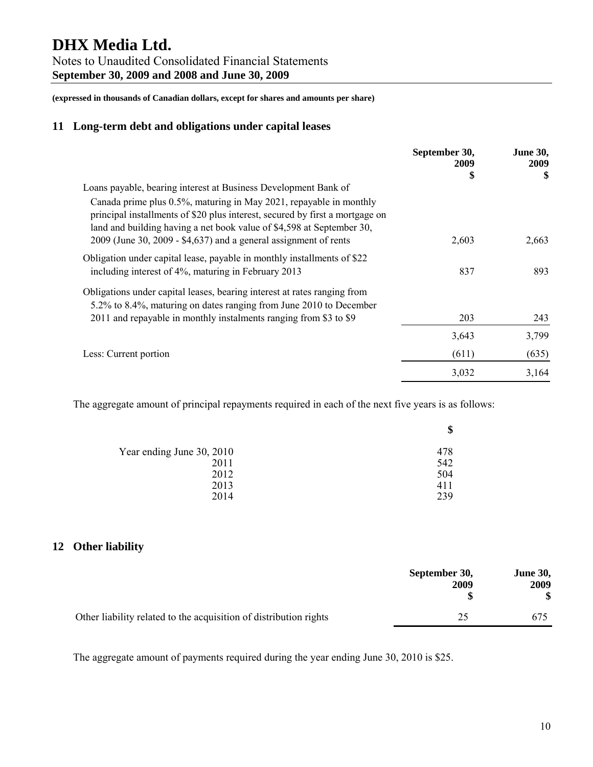Notes to Unaudited Consolidated Financial Statements **September 30, 2009 and 2008 and June 30, 2009** 

**(expressed in thousands of Canadian dollars, except for shares and amounts per share)** 

#### **11 Long-term debt and obligations under capital leases**

|                                                                                                                                                                                                                             | September 30,<br>2009 | <b>June 30,</b><br>2009 |
|-----------------------------------------------------------------------------------------------------------------------------------------------------------------------------------------------------------------------------|-----------------------|-------------------------|
|                                                                                                                                                                                                                             | \$                    | \$                      |
| Loans payable, bearing interest at Business Development Bank of                                                                                                                                                             |                       |                         |
| Canada prime plus 0.5%, maturing in May 2021, repayable in monthly<br>principal installments of \$20 plus interest, secured by first a mortgage on<br>land and building having a net book value of \$4,598 at September 30, |                       |                         |
| $2009$ (June 30, 2009 - \$4,637) and a general assignment of rents                                                                                                                                                          | 2,603                 | 2,663                   |
| Obligation under capital lease, payable in monthly installments of \$22                                                                                                                                                     |                       |                         |
| including interest of 4%, maturing in February 2013                                                                                                                                                                         | 837                   | 893                     |
| Obligations under capital leases, bearing interest at rates ranging from                                                                                                                                                    |                       |                         |
| 5.2% to 8.4%, maturing on dates ranging from June 2010 to December                                                                                                                                                          |                       |                         |
| 2011 and repayable in monthly instalments ranging from \$3 to \$9                                                                                                                                                           | 203                   | 243                     |
|                                                                                                                                                                                                                             | 3,643                 | 3,799                   |
| Less: Current portion                                                                                                                                                                                                       | (611)                 | (635)                   |
|                                                                                                                                                                                                                             | 3,032                 | 3,164                   |

The aggregate amount of principal repayments required in each of the next five years is as follows:

|                           | \$  |
|---------------------------|-----|
| Year ending June 30, 2010 | 478 |
| 2011                      | 542 |
| 2012                      | 504 |
| 2013                      | 411 |
| 2014                      | 239 |

### **12 Other liability**

|                                                                   | September 30,<br>2009 | <b>June 30,</b><br>2009 |
|-------------------------------------------------------------------|-----------------------|-------------------------|
| Other liability related to the acquisition of distribution rights | 25                    | 675                     |

The aggregate amount of payments required during the year ending June 30, 2010 is \$25.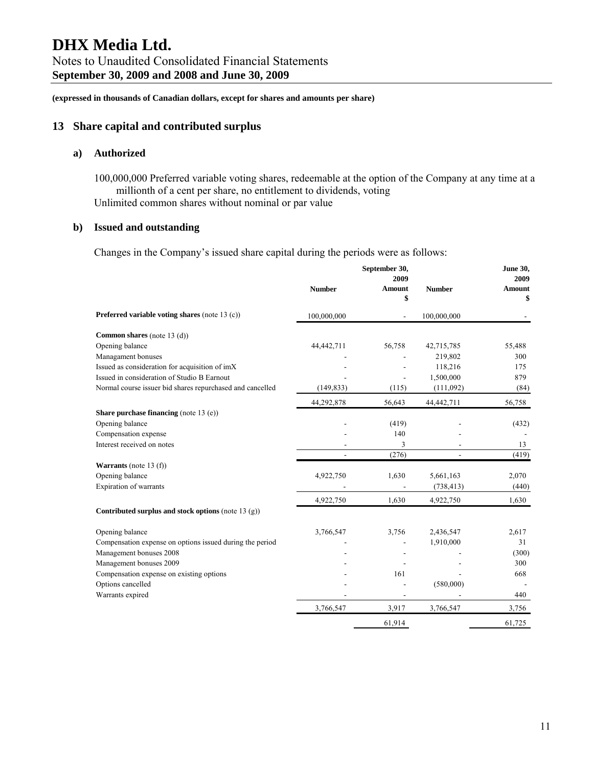#### **13 Share capital and contributed surplus**

#### **a) Authorized**

100,000,000 Preferred variable voting shares, redeemable at the option of the Company at any time at a millionth of a cent per share, no entitlement to dividends, voting Unlimited common shares without nominal or par value

#### **b) Issued and outstanding**

Changes in the Company's issued share capital during the periods were as follows:

|                                                           | September 30,<br>2009 |        |               | June 30,<br>2009 |  |
|-----------------------------------------------------------|-----------------------|--------|---------------|------------------|--|
|                                                           | <b>Number</b>         | Amount | <b>Number</b> | <b>Amount</b>    |  |
|                                                           |                       | \$     |               | \$               |  |
| Preferred variable voting shares (note 13 (c))            | 100,000,000           |        | 100,000,000   |                  |  |
| <b>Common shares</b> (note 13 (d))                        |                       |        |               |                  |  |
| Opening balance                                           | 44,442,711            | 56,758 | 42,715,785    | 55,488           |  |
| Managament bonuses                                        |                       |        | 219,802       | 300              |  |
| Issued as consideration for acquisition of imX            |                       |        | 118,216       | 175              |  |
| Issued in consideration of Studio B Earnout               |                       |        | 1,500,000     | 879              |  |
| Normal course issuer bid shares repurchased and cancelled | (149, 833)            | (115)  | (111,092)     | (84)             |  |
|                                                           | 44,292,878            | 56,643 | 44,442,711    | 56,758           |  |
| Share purchase financing (note 13 (e))                    |                       |        |               |                  |  |
| Opening balance                                           |                       | (419)  |               | (432)            |  |
| Compensation expense                                      |                       | 140    |               |                  |  |
| Interest received on notes                                |                       | 3      |               | 13               |  |
|                                                           |                       | (276)  |               | (419)            |  |
| <b>Warrants</b> (note 13 $(f)$ )                          |                       |        |               |                  |  |
| Opening balance                                           | 4,922,750             | 1,630  | 5,661,163     | 2,070            |  |
| Expiration of warrants                                    |                       |        | (738, 413)    | (440)            |  |
|                                                           | 4,922,750             | 1,630  | 4,922,750     | 1,630            |  |
| Contributed surplus and stock options (note 13 $(g)$ )    |                       |        |               |                  |  |
| Opening balance                                           | 3,766,547             | 3,756  | 2,436,547     | 2,617            |  |
| Compensation expense on options issued during the period  |                       |        | 1,910,000     | 31               |  |
| Management bonuses 2008                                   |                       |        |               | (300)            |  |
| Management bonuses 2009                                   |                       |        |               | 300              |  |
| Compensation expense on existing options                  |                       | 161    |               | 668              |  |
| Options cancelled                                         |                       |        | (580,000)     |                  |  |
| Warrants expired                                          |                       |        |               | 440              |  |
|                                                           | 3,766,547             | 3,917  | 3,766,547     | 3,756            |  |
|                                                           |                       | 61,914 |               | 61,725           |  |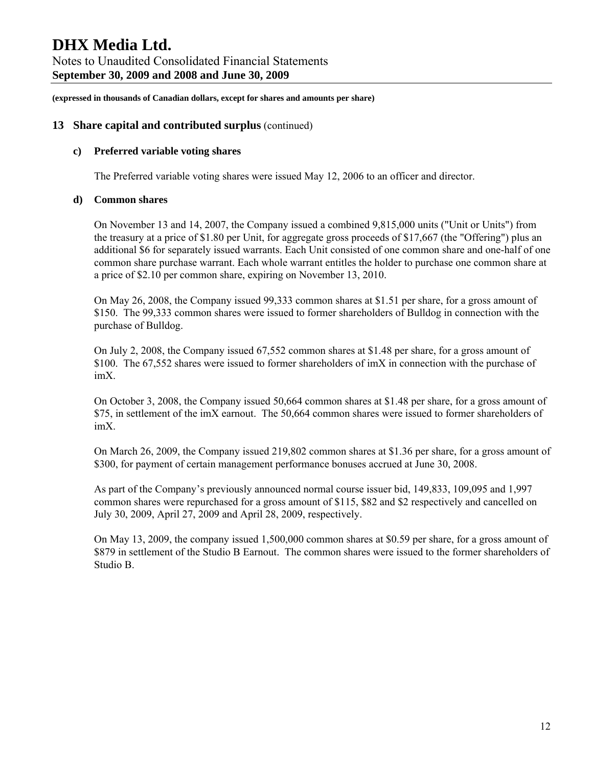## **DHX Media Ltd.**  Notes to Unaudited Consolidated Financial Statements

**September 30, 2009 and 2008 and June 30, 2009** 

**(expressed in thousands of Canadian dollars, except for shares and amounts per share)** 

#### **13 Share capital and contributed surplus** (continued)

#### **c) Preferred variable voting shares**

The Preferred variable voting shares were issued May 12, 2006 to an officer and director.

#### **d) Common shares**

On November 13 and 14, 2007, the Company issued a combined 9,815,000 units ("Unit or Units") from the treasury at a price of \$1.80 per Unit, for aggregate gross proceeds of \$17,667 (the "Offering") plus an additional \$6 for separately issued warrants. Each Unit consisted of one common share and one-half of one common share purchase warrant. Each whole warrant entitles the holder to purchase one common share at a price of \$2.10 per common share, expiring on November 13, 2010.

On May 26, 2008, the Company issued 99,333 common shares at \$1.51 per share, for a gross amount of \$150. The 99,333 common shares were issued to former shareholders of Bulldog in connection with the purchase of Bulldog.

On July 2, 2008, the Company issued 67,552 common shares at \$1.48 per share, for a gross amount of \$100. The 67,552 shares were issued to former shareholders of  $\text{im}X$  in connection with the purchase of imX.

On October 3, 2008, the Company issued 50,664 common shares at \$1.48 per share, for a gross amount of \$75, in settlement of the imX earnout. The 50,664 common shares were issued to former shareholders of imX.

On March 26, 2009, the Company issued 219,802 common shares at \$1.36 per share, for a gross amount of \$300, for payment of certain management performance bonuses accrued at June 30, 2008.

As part of the Company's previously announced normal course issuer bid, 149,833, 109,095 and 1,997 common shares were repurchased for a gross amount of \$115, \$82 and \$2 respectively and cancelled on July 30, 2009, April 27, 2009 and April 28, 2009, respectively.

On May 13, 2009, the company issued 1,500,000 common shares at \$0.59 per share, for a gross amount of \$879 in settlement of the Studio B Earnout. The common shares were issued to the former shareholders of Studio B.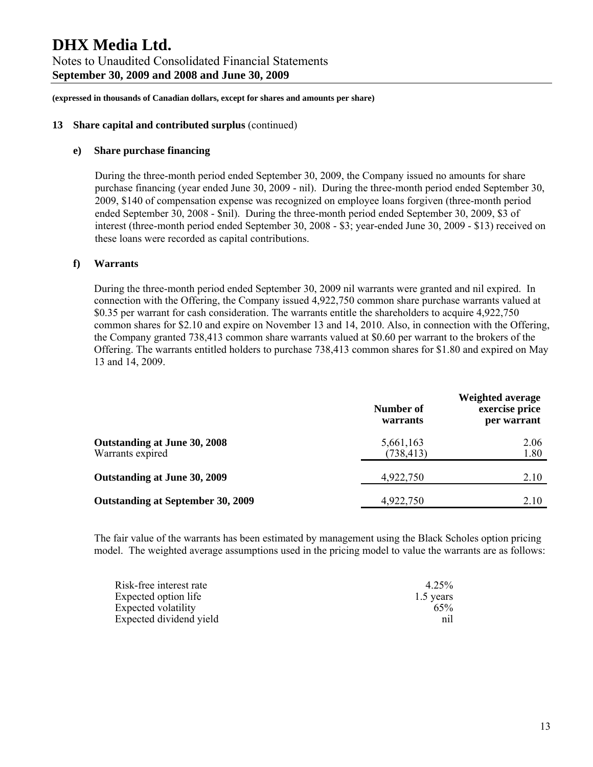**(expressed in thousands of Canadian dollars, except for shares and amounts per share)** 

#### **13 Share capital and contributed surplus** (continued)

#### **e) Share purchase financing**

During the three-month period ended September 30, 2009, the Company issued no amounts for share purchase financing (year ended June 30, 2009 - nil). During the three-month period ended September 30, 2009, \$140 of compensation expense was recognized on employee loans forgiven (three-month period ended September 30, 2008 - \$nil). During the three-month period ended September 30, 2009, \$3 of interest (three-month period ended September 30, 2008 - \$3; year-ended June 30, 2009 - \$13) received on these loans were recorded as capital contributions.

#### **f) Warrants**

During the three-month period ended September 30, 2009 nil warrants were granted and nil expired. In connection with the Offering, the Company issued 4,922,750 common share purchase warrants valued at \$0.35 per warrant for cash consideration. The warrants entitle the shareholders to acquire 4,922,750 common shares for \$2.10 and expire on November 13 and 14, 2010. Also, in connection with the Offering, the Company granted 738,413 common share warrants valued at \$0.60 per warrant to the brokers of the Offering. The warrants entitled holders to purchase 738,413 common shares for \$1.80 and expired on May 13 and 14, 2009.

|                                                  | Number of<br>warrants   | <b>Weighted average</b><br>exercise price<br>per warrant |
|--------------------------------------------------|-------------------------|----------------------------------------------------------|
| Outstanding at June 30, 2008<br>Warrants expired | 5,661,163<br>(738, 413) | 2.06<br>1.80                                             |
| Outstanding at June 30, 2009                     | 4,922,750               | 2.10                                                     |
| <b>Outstanding at September 30, 2009</b>         | 4,922,750               | 2.10                                                     |

The fair value of the warrants has been estimated by management using the Black Scholes option pricing model. The weighted average assumptions used in the pricing model to value the warrants are as follows:

| Risk-free interest rate | 4.25%     |
|-------------------------|-----------|
| Expected option life    | 1.5 years |
| Expected volatility     | 65%       |
| Expected dividend yield | nil       |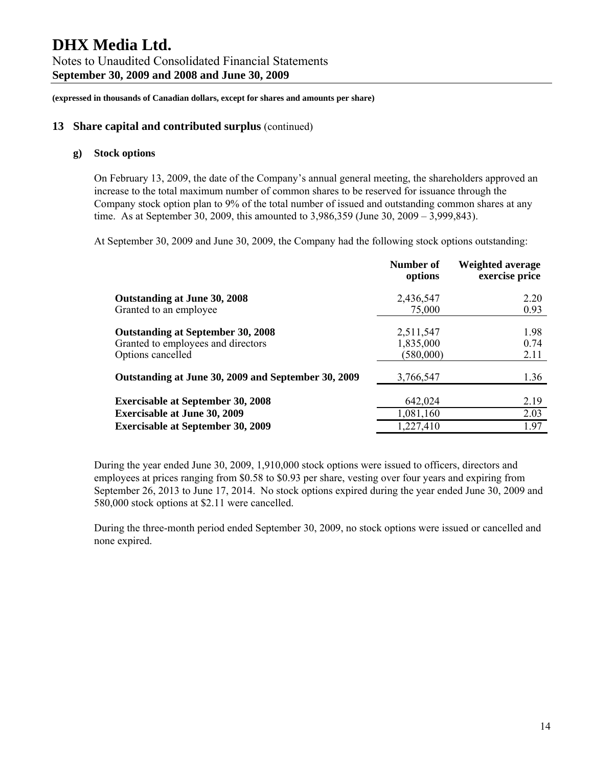#### **13 Share capital and contributed surplus** (continued)

#### **g) Stock options**

On February 13, 2009, the date of the Company's annual general meeting, the shareholders approved an increase to the total maximum number of common shares to be reserved for issuance through the Company stock option plan to 9% of the total number of issued and outstanding common shares at any time. As at September 30, 2009, this amounted to 3,986,359 (June 30, 2009 – 3,999,843).

At September 30, 2009 and June 30, 2009, the Company had the following stock options outstanding:

|                                                                                                     | Number of<br>options                | <b>Weighted average</b><br>exercise price |
|-----------------------------------------------------------------------------------------------------|-------------------------------------|-------------------------------------------|
| Outstanding at June 30, 2008                                                                        | 2,436,547                           | 2.20                                      |
| Granted to an employee                                                                              | 75,000                              | 0.93                                      |
| <b>Outstanding at September 30, 2008</b><br>Granted to employees and directors<br>Options cancelled | 2,511,547<br>1,835,000<br>(580,000) | 1.98<br>0.74<br>2.11                      |
| Outstanding at June 30, 2009 and September 30, 2009                                                 | 3,766,547                           | 1.36                                      |
| <b>Exercisable at September 30, 2008</b>                                                            | 642,024                             | 2.19                                      |
| <b>Exercisable at June 30, 2009</b>                                                                 | 1,081,160                           | 2.03                                      |
| <b>Exercisable at September 30, 2009</b>                                                            | 1,227,410                           | 1.97                                      |

During the year ended June 30, 2009, 1,910,000 stock options were issued to officers, directors and employees at prices ranging from \$0.58 to \$0.93 per share, vesting over four years and expiring from September 26, 2013 to June 17, 2014. No stock options expired during the year ended June 30, 2009 and 580,000 stock options at \$2.11 were cancelled.

During the three-month period ended September 30, 2009, no stock options were issued or cancelled and none expired.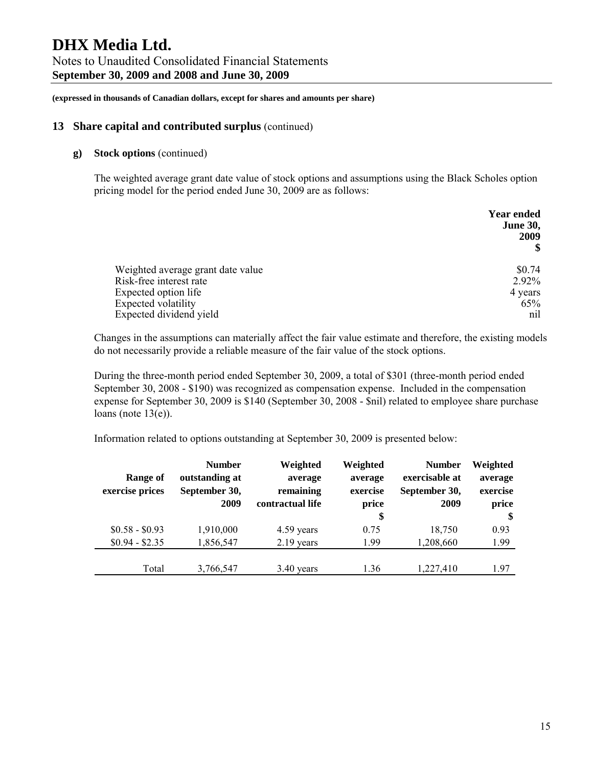#### **13 Share capital and contributed surplus** (continued)

#### **g) Stock options** (continued)

The weighted average grant date value of stock options and assumptions using the Black Scholes option pricing model for the period ended June 30, 2009 are as follows:

|                                   | <b>Year ended</b><br><b>June 30,</b><br>2009 |
|-----------------------------------|----------------------------------------------|
| Weighted average grant date value | \$0.74                                       |
| Risk-free interest rate           | 2.92%                                        |
| Expected option life              | 4 years                                      |
| <b>Expected volatility</b>        | 65%                                          |
| Expected dividend yield           | nil                                          |

Changes in the assumptions can materially affect the fair value estimate and therefore, the existing models do not necessarily provide a reliable measure of the fair value of the stock options.

During the three-month period ended September 30, 2009, a total of \$301 (three-month period ended September 30, 2008 - \$190) was recognized as compensation expense. Included in the compensation expense for September 30, 2009 is \$140 (September 30, 2008 - \$nil) related to employee share purchase loans (note  $13(e)$ ).

Information related to options outstanding at September 30, 2009 is presented below:

| Range of<br>exercise prices | <b>Number</b><br>outstanding at<br>September 30, | Weighted<br>average<br>remaining | Weighted<br>average<br>exercise | <b>Number</b><br>exercisable at<br>September 30, | Weighted<br>average<br>exercise |
|-----------------------------|--------------------------------------------------|----------------------------------|---------------------------------|--------------------------------------------------|---------------------------------|
|                             | 2009                                             | contractual life                 | price                           | 2009                                             | price                           |
| $$0.58 - $0.93$             | 1,910,000                                        | 4.59 years                       | \$<br>0.75                      | 18,750                                           | $\mathbf{\$}$<br>0.93           |
| $$0.94 - $2.35$             | 1,856,547                                        | $2.19$ years                     | 1.99                            | 1,208,660                                        | 1.99                            |
| Total                       | 3,766,547                                        | $3.40$ years                     | 1.36                            | 1,227,410                                        | 1.97                            |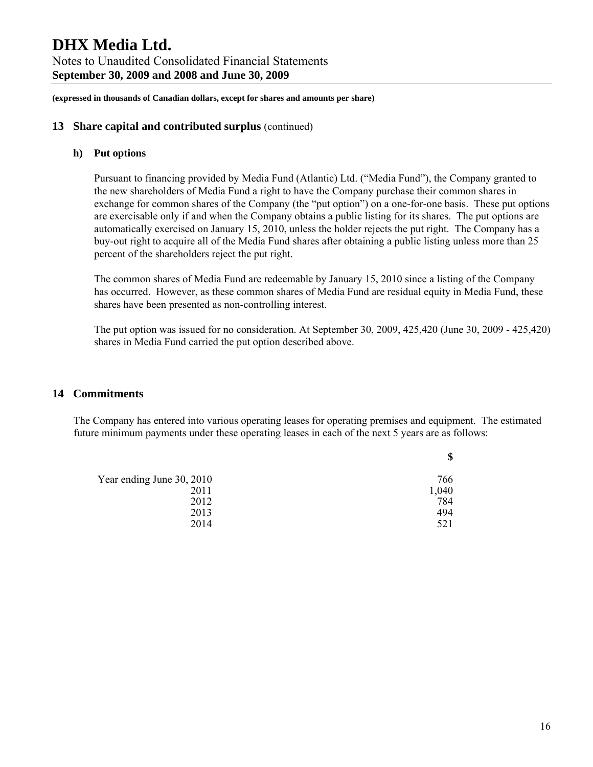**(expressed in thousands of Canadian dollars, except for shares and amounts per share)** 

#### **13 Share capital and contributed surplus** (continued)

#### **h) Put options**

Pursuant to financing provided by Media Fund (Atlantic) Ltd. ("Media Fund"), the Company granted to the new shareholders of Media Fund a right to have the Company purchase their common shares in exchange for common shares of the Company (the "put option") on a one-for-one basis. These put options are exercisable only if and when the Company obtains a public listing for its shares. The put options are automatically exercised on January 15, 2010, unless the holder rejects the put right. The Company has a buy-out right to acquire all of the Media Fund shares after obtaining a public listing unless more than 25 percent of the shareholders reject the put right.

The common shares of Media Fund are redeemable by January 15, 2010 since a listing of the Company has occurred. However, as these common shares of Media Fund are residual equity in Media Fund, these shares have been presented as non-controlling interest.

The put option was issued for no consideration. At September 30, 2009, 425,420 (June 30, 2009 - 425,420) shares in Media Fund carried the put option described above.

#### **14 Commitments**

The Company has entered into various operating leases for operating premises and equipment. The estimated future minimum payments under these operating leases in each of the next 5 years are as follows:

 **\$** 

| Year ending June 30, 2010 | 766   |
|---------------------------|-------|
| 2011                      | 1,040 |
| 2012                      | 784   |
| 2013                      | 494   |
| 2014                      | 521   |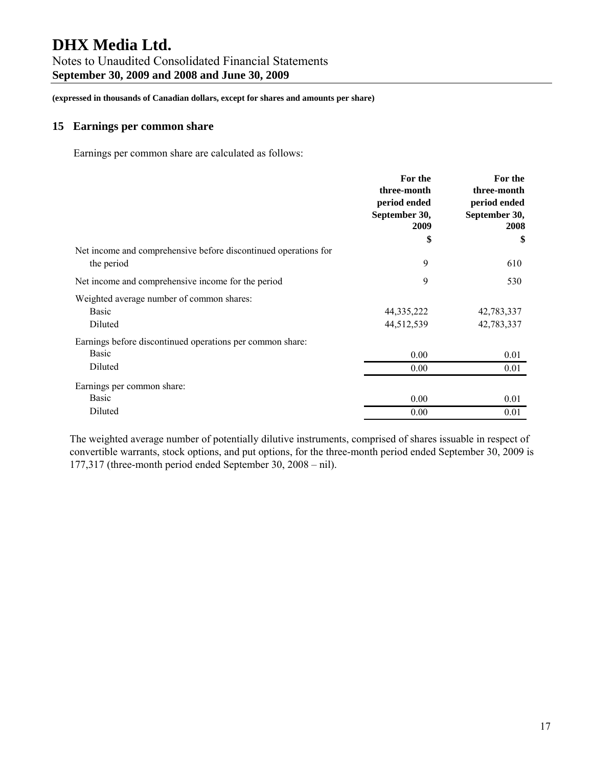### Notes to Unaudited Consolidated Financial Statements **September 30, 2009 and 2008 and June 30, 2009**

**(expressed in thousands of Canadian dollars, except for shares and amounts per share)** 

#### **15 Earnings per common share**

Earnings per common share are calculated as follows:

|                                                                 | For the<br>three-month<br>period ended<br>September 30,<br>2009 | For the<br>three-month<br>period ended<br>September 30,<br>2008 |
|-----------------------------------------------------------------|-----------------------------------------------------------------|-----------------------------------------------------------------|
|                                                                 | \$                                                              | \$                                                              |
| Net income and comprehensive before discontinued operations for |                                                                 |                                                                 |
| the period                                                      | 9                                                               | 610                                                             |
| Net income and comprehensive income for the period              | 9                                                               | 530                                                             |
| Weighted average number of common shares:                       |                                                                 |                                                                 |
| Basic                                                           | 44, 335, 222                                                    | 42,783,337                                                      |
| Diluted                                                         | 44,512,539                                                      | 42,783,337                                                      |
| Earnings before discontinued operations per common share:       |                                                                 |                                                                 |
| Basic                                                           | 0.00                                                            | 0.01                                                            |
| Diluted                                                         | 0.00                                                            | 0.01                                                            |
| Earnings per common share:                                      |                                                                 |                                                                 |
| Basic                                                           | 0.00                                                            | 0.01                                                            |
| Diluted                                                         | 0.00                                                            | 0.01                                                            |

The weighted average number of potentially dilutive instruments, comprised of shares issuable in respect of convertible warrants, stock options, and put options, for the three-month period ended September 30, 2009 is 177,317 (three-month period ended September 30, 2008 – nil).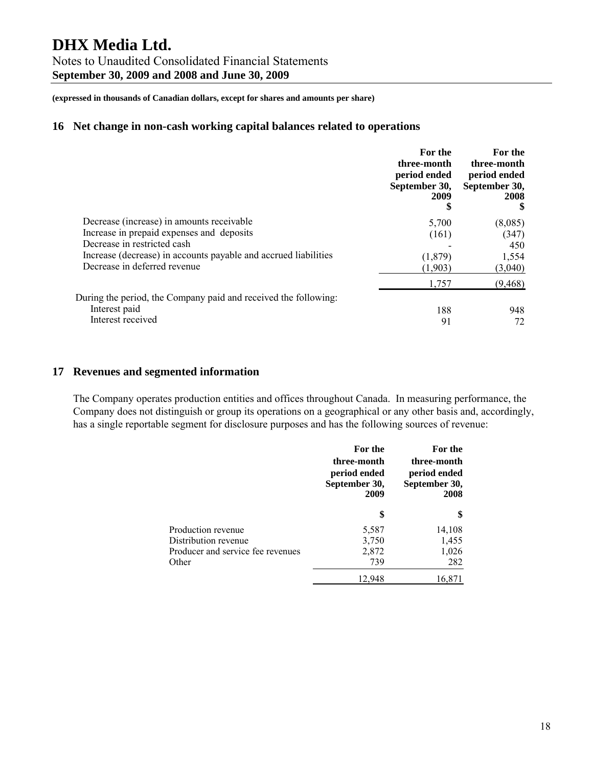Notes to Unaudited Consolidated Financial Statements **September 30, 2009 and 2008 and June 30, 2009** 

**(expressed in thousands of Canadian dollars, except for shares and amounts per share)** 

#### **16 Net change in non-cash working capital balances related to operations**

|                                                                 | For the<br>three-month<br>period ended<br>September 30,<br>2009 | For the<br>three-month<br>period ended<br>September 30,<br>2008 |
|-----------------------------------------------------------------|-----------------------------------------------------------------|-----------------------------------------------------------------|
| Decrease (increase) in amounts receivable                       | 5,700                                                           | (8,085)                                                         |
| Increase in prepaid expenses and deposits                       | (161)                                                           | (347)                                                           |
| Decrease in restricted cash                                     |                                                                 | 450                                                             |
| Increase (decrease) in accounts payable and accrued liabilities | (1,879)                                                         | 1,554                                                           |
| Decrease in deferred revenue                                    | (1.903)                                                         | (3,040)                                                         |
|                                                                 | 1,757                                                           | (9, 468)                                                        |
| During the period, the Company paid and received the following: |                                                                 |                                                                 |
| Interest paid                                                   | 188                                                             | 948                                                             |
| Interest received                                               | 91                                                              | 72                                                              |

#### **17 Revenues and segmented information**

The Company operates production entities and offices throughout Canada. In measuring performance, the Company does not distinguish or group its operations on a geographical or any other basis and, accordingly, has a single reportable segment for disclosure purposes and has the following sources of revenue:

|                                            | For the<br>three-month<br>period ended<br>September 30,<br>2009 | For the<br>three-month<br>period ended<br>September 30,<br>2008 |
|--------------------------------------------|-----------------------------------------------------------------|-----------------------------------------------------------------|
|                                            | \$                                                              | \$                                                              |
| Production revenue                         | 5,587                                                           | 14,108                                                          |
| Distribution revenue                       | 3,750                                                           | 1,455                                                           |
| Producer and service fee revenues<br>Other | 2,872<br>739                                                    | 1,026<br>282                                                    |
|                                            | 12.948                                                          | 16,871                                                          |